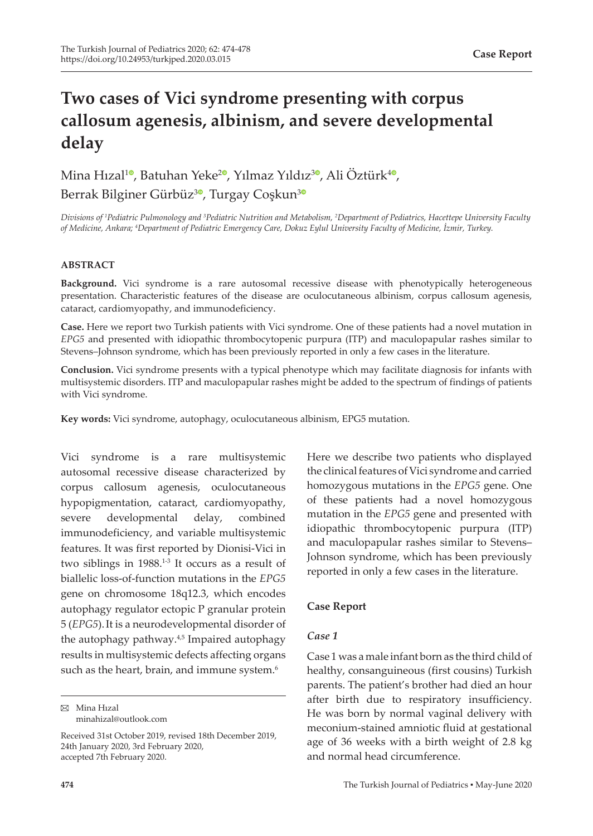# **Two cases of Vici syndrome presenting with corpus callosum agenesis, albinism, and severe developmental delay**

Mina Hızal<sup>10</sup>[,](https://orcid.org/0000-0001-8813-5898) Batuhan Yeke<sup>20</sup>, Yılmaz Yıldız<sup>[3](https://orcid.org/0000-0001-9076-1388)0</sup>, Ali Öztürk<sup>40</sup>, Berrak Bilginer Gürbüz<sup>[3](https://orcid.org/0000-0001-9589-0445)0</sup>, Turgay Coşkun<sup>30</sup>

*Divisions of <sup>1</sup> Pediatric Pulmonology and <sup>3</sup> Pediatric Nutrition and Metabolism, <sup>2</sup> Department of Pediatrics, Hacettepe University Faculty of Medicine, Ankara; 4 Department of Pediatric Emergency Care, Dokuz Eylul University Faculty of Medicine, İzmir, Turkey.*

### **ABSTRACT**

**Background.** Vici syndrome is a rare autosomal recessive disease with phenotypically heterogeneous presentation. Characteristic features of the disease are oculocutaneous albinism, corpus callosum agenesis, cataract, cardiomyopathy, and immunodeficiency.

**Case.** Here we report two Turkish patients with Vici syndrome. One of these patients had a novel mutation in *EPG5* and presented with idiopathic thrombocytopenic purpura (ITP) and maculopapular rashes similar to Stevens–Johnson syndrome, which has been previously reported in only a few cases in the literature.

**Conclusion.** Vici syndrome presents with a typical phenotype which may facilitate diagnosis for infants with multisystemic disorders. ITP and maculopapular rashes might be added to the spectrum of findings of patients with Vici syndrome.

**Key words:** Vici syndrome, autophagy, oculocutaneous albinism, EPG5 mutation.

Vici syndrome is a rare multisystemic autosomal recessive disease characterized by corpus callosum agenesis, oculocutaneous hypopigmentation, cataract, cardiomyopathy, severe developmental delay, combined immunodeficiency, and variable multisystemic features. It was first reported by Dionisi-Vici in two siblings in 1988.<sup>1-3</sup> It occurs as a result of biallelic loss-of-function mutations in the *EPG5* gene on chromosome 18q12.3, which encodes autophagy regulator ectopic P granular protein 5 (*EPG5*).It is a neurodevelopmental disorder of the autophagy pathway.<sup>4,5</sup> Impaired autophagy results in multisystemic defects affecting organs such as the heart, brain, and immune system.<sup>6</sup>

Mina Hızal minahizal@outlook.com Here we describe two patients who displayed the clinical features of Vici syndrome and carried homozygous mutations in the *EPG5* gene. One of these patients had a novel homozygous mutation in the *EPG5* gene and presented with idiopathic thrombocytopenic purpura (ITP) and maculopapular rashes similar to Stevens– Johnson syndrome, which has been previously reported in only a few cases in the literature.

## **Case Report**

### *Case 1*

Case 1 was a male infant born as the third child of healthy, consanguineous (first cousins) Turkish parents. The patient's brother had died an hour after birth due to respiratory insufficiency. He was born by normal vaginal delivery with meconium-stained amniotic fluid at gestational age of 36 weeks with a birth weight of 2.8 kg and normal head circumference.

Received 31st October 2019, revised 18th December 2019, 24th January 2020, 3rd February 2020, accepted 7th February 2020.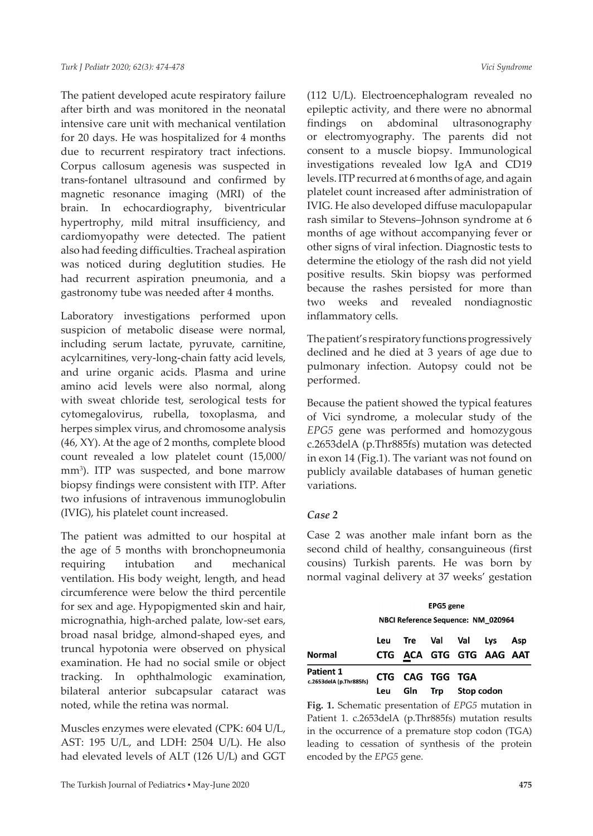The patient developed acute respiratory failure after birth and was monitored in the neonatal intensive care unit with mechanical ventilation for 20 days. He was hospitalized for 4 months due to recurrent respiratory tract infections. Corpus callosum agenesis was suspected in trans-fontanel ultrasound and confirmed by magnetic resonance imaging (MRI) of the brain. In echocardiography, biventricular hypertrophy, mild mitral insufficiency, and cardiomyopathy were detected. The patient also had feeding difficulties. Tracheal aspiration was noticed during deglutition studies. He had recurrent aspiration pneumonia, and a gastronomy tube was needed after 4 months.

Laboratory investigations performed upon suspicion of metabolic disease were normal, including serum lactate, pyruvate, carnitine, acylcarnitines, very-long-chain fatty acid levels, and urine organic acids. Plasma and urine amino acid levels were also normal, along with sweat chloride test, serological tests for cytomegalovirus, rubella, toxoplasma, and herpes simplex virus, and chromosome analysis (46, XY). At the age of 2 months, complete blood count revealed a low platelet count (15,000/ mm<sup>3</sup> ). ITP was suspected, and bone marrow biopsy findings were consistent with ITP. After two infusions of intravenous immunoglobulin (IVIG), his platelet count increased.

The patient was admitted to our hospital at the age of 5 months with bronchopneumonia requiring intubation and mechanical ventilation. His body weight, length, and head circumference were below the third percentile for sex and age. Hypopigmented skin and hair, micrognathia, high-arched palate, low-set ears, broad nasal bridge, almond-shaped eyes, and truncal hypotonia were observed on physical examination. He had no social smile or object tracking. In ophthalmologic examination, bilateral anterior subcapsular cataract was noted, while the retina was normal.

Muscles enzymes were elevated (CPK: 604 U/L, AST: 195 U/L, and LDH: 2504 U/L). He also had elevated levels of ALT (126 U/L) and GGT (112 U/L). Electroencephalogram revealed no epileptic activity, and there were no abnormal findings on abdominal ultrasonography or electromyography. The parents did not consent to a muscle biopsy. Immunological investigations revealed low IgA and CD19 levels. ITP recurred at 6 months of age, and again platelet count increased after administration of IVIG. He also developed diffuse maculopapular rash similar to Stevens–Johnson syndrome at 6 months of age without accompanying fever or other signs of viral infection. Diagnostic tests to determine the etiology of the rash did not yield positive results. Skin biopsy was performed because the rashes persisted for more than two weeks and revealed nondiagnostic inflammatory cells.

The patient's respiratory functions progressively declined and he died at 3 years of age due to pulmonary infection. Autopsy could not be performed.

Because the patient showed the typical features of Vici syndrome, a molecular study of the *EPG5* gene was performed and homozygous c.2653delA (p.Thr885fs) mutation was detected in exon 14 (Fig.1). The variant was not found on publicly available databases of human genetic variations.

### *Case 2*

Case 2 was another male infant born as the second child of healthy, consanguineous (first cousins) Turkish parents. He was born by normal vaginal delivery at 37 weeks' gestation

|                                             | <b>EPG5</b> gene<br>NBCI Reference Sequence: NM 020964 |                         |             |            |     |     |
|---------------------------------------------|--------------------------------------------------------|-------------------------|-------------|------------|-----|-----|
| <b>Normal</b>                               | Leu                                                    | CTG ACA GTG GTG AAG AAT | Tre Val Val |            | Lys | Asp |
| <b>Patient 1</b><br>c.2653delA (p.Thr885fs) | Leu                                                    | CTG CAG TGG TGA         | Gln Trp     | Stop codon |     |     |

**Fig. 1.** Schematic presentation of *EPG5* mutation in Patient 1. c.2653delA (p.Thr885fs) mutation results in the occurrence of a premature stop codon (TGA) leading to cessation of synthesis of the protein encoded by the *EPG5* gene.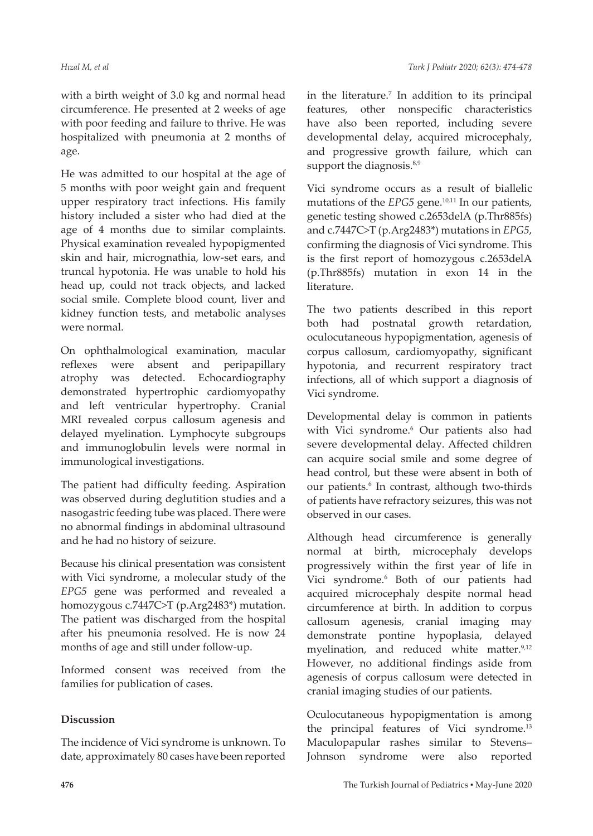with a birth weight of 3.0 kg and normal head circumference. He presented at 2 weeks of age with poor feeding and failure to thrive. He was hospitalized with pneumonia at 2 months of age.

He was admitted to our hospital at the age of 5 months with poor weight gain and frequent upper respiratory tract infections. His family history included a sister who had died at the age of 4 months due to similar complaints. Physical examination revealed hypopigmented skin and hair, micrognathia, low-set ears, and truncal hypotonia. He was unable to hold his head up, could not track objects, and lacked social smile. Complete blood count, liver and kidney function tests, and metabolic analyses were normal.

On ophthalmological examination, macular reflexes were absent and peripapillary atrophy was detected. Echocardiography demonstrated hypertrophic cardiomyopathy and left ventricular hypertrophy. Cranial MRI revealed corpus callosum agenesis and delayed myelination. Lymphocyte subgroups and immunoglobulin levels were normal in immunological investigations.

The patient had difficulty feeding. Aspiration was observed during deglutition studies and a nasogastric feeding tube was placed. There were no abnormal findings in abdominal ultrasound and he had no history of seizure.

Because his clinical presentation was consistent with Vici syndrome, a molecular study of the *EPG5* gene was performed and revealed a homozygous c.7447C>T (p.Arg2483\*) mutation. The patient was discharged from the hospital after his pneumonia resolved. He is now 24 months of age and still under follow-up.

Informed consent was received from the families for publication of cases.

### **Discussion**

The incidence of Vici syndrome is unknown. To date, approximately 80 cases have been reported

in the literature.<sup>7</sup> In addition to its principal features, other nonspecific characteristics have also been reported, including severe developmental delay, acquired microcephaly, and progressive growth failure, which can support the diagnosis.<sup>8,9</sup>

Vici syndrome occurs as a result of biallelic mutations of the *EPG5* gene.<sup>10,11</sup> In our patients, genetic testing showed c.2653delA (p.Thr885fs) and c.7447C>T (p.Arg2483\*) mutations in *EPG5*, confirming the diagnosis of Vici syndrome. This is the first report of homozygous c.2653delA (p.Thr885fs) mutation in exon 14 in the literature.

The two patients described in this report both had postnatal growth retardation, oculocutaneous hypopigmentation, agenesis of corpus callosum, cardiomyopathy, significant hypotonia, and recurrent respiratory tract infections, all of which support a diagnosis of Vici syndrome.

Developmental delay is common in patients with Vici syndrome.<sup>6</sup> Our patients also had severe developmental delay. Affected children can acquire social smile and some degree of head control, but these were absent in both of our patients.<sup>6</sup> In contrast, although two-thirds of patients have refractory seizures, this was not observed in our cases.

Although head circumference is generally normal at birth, microcephaly develops progressively within the first year of life in Vici syndrome.<sup>6</sup> Both of our patients had acquired microcephaly despite normal head circumference at birth. In addition to corpus callosum agenesis, cranial imaging may demonstrate pontine hypoplasia, delayed myelination, and reduced white matter.<sup>9,12</sup> However, no additional findings aside from agenesis of corpus callosum were detected in cranial imaging studies of our patients.

Oculocutaneous hypopigmentation is among the principal features of Vici syndrome.<sup>13</sup> Maculopapular rashes similar to Stevens– Johnson syndrome were also reported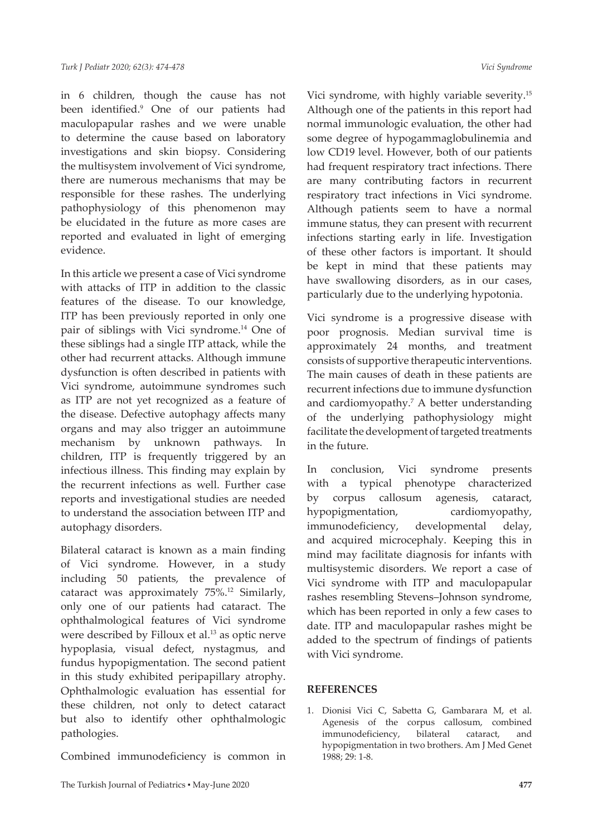in 6 children, though the cause has not been identified.9 One of our patients had maculopapular rashes and we were unable to determine the cause based on laboratory investigations and skin biopsy. Considering the multisystem involvement of Vici syndrome, there are numerous mechanisms that may be responsible for these rashes. The underlying pathophysiology of this phenomenon may be elucidated in the future as more cases are reported and evaluated in light of emerging evidence.

In this article we present a case of Vici syndrome with attacks of ITP in addition to the classic features of the disease. To our knowledge, ITP has been previously reported in only one pair of siblings with Vici syndrome.14 One of these siblings had a single ITP attack, while the other had recurrent attacks. Although immune dysfunction is often described in patients with Vici syndrome, autoimmune syndromes such as ITP are not yet recognized as a feature of the disease. Defective autophagy affects many organs and may also trigger an autoimmune mechanism by unknown pathways. In children, ITP is frequently triggered by an infectious illness. This finding may explain by the recurrent infections as well. Further case reports and investigational studies are needed to understand the association between ITP and autophagy disorders.

Bilateral cataract is known as a main finding of Vici syndrome. However, in a study including 50 patients, the prevalence of cataract was approximately 75%.12 Similarly, only one of our patients had cataract. The ophthalmological features of Vici syndrome were described by Filloux et al.<sup>13</sup> as optic nerve hypoplasia, visual defect, nystagmus, and fundus hypopigmentation. The second patient in this study exhibited peripapillary atrophy. Ophthalmologic evaluation has essential for these children, not only to detect cataract but also to identify other ophthalmologic pathologies.

Combined immunodeficiency is common in

Vici syndrome, with highly variable severity.15 Although one of the patients in this report had normal immunologic evaluation, the other had some degree of hypogammaglobulinemia and low CD19 level. However, both of our patients had frequent respiratory tract infections. There are many contributing factors in recurrent respiratory tract infections in Vici syndrome. Although patients seem to have a normal immune status, they can present with recurrent infections starting early in life. Investigation of these other factors is important. It should be kept in mind that these patients may have swallowing disorders, as in our cases, particularly due to the underlying hypotonia.

Vici syndrome is a progressive disease with poor prognosis. Median survival time is approximately 24 months, and treatment consists of supportive therapeutic interventions. The main causes of death in these patients are recurrent infections due to immune dysfunction and cardiomyopathy.<sup>7</sup> A better understanding of the underlying pathophysiology might facilitate the development of targeted treatments in the future.

In conclusion, Vici syndrome presents with a typical phenotype characterized by corpus callosum agenesis, cataract, hypopigmentation, cardiomyopathy, immunodeficiency, developmental delay, and acquired microcephaly. Keeping this in mind may facilitate diagnosis for infants with multisystemic disorders. We report a case of Vici syndrome with ITP and maculopapular rashes resembling Stevens–Johnson syndrome, which has been reported in only a few cases to date. ITP and maculopapular rashes might be added to the spectrum of findings of patients with Vici syndrome.

### **REFERENCES**

1. Dionisi Vici C, Sabetta G, Gambarara M, et al. Agenesis of the corpus callosum, combined immunodeficiency, bilateral cataract, and hypopigmentation in two brothers. Am J Med Genet 1988; 29: 1-8.